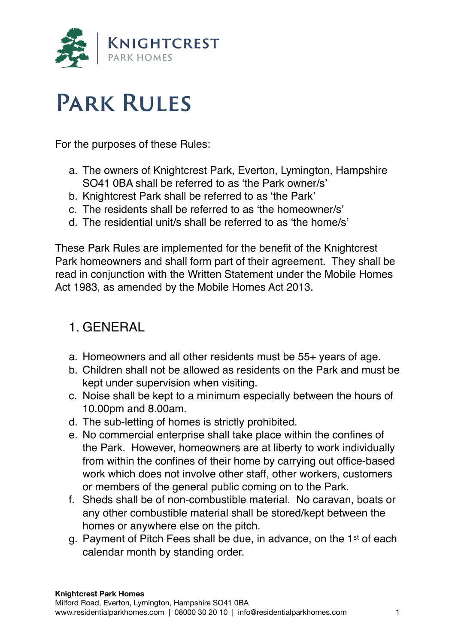

# **Park Rules**

For the purposes of these Rules:

- a. The owners of Knightcrest Park, Everton, Lymington, Hampshire SO41 0BA shall be referred to as 'the Park owner/s'
- b. Knightcrest Park shall be referred to as 'the Park'
- c. The residents shall be referred to as 'the homeowner/s'
- d. The residential unit/s shall be referred to as 'the home/s'

These Park Rules are implemented for the benefit of the Knightcrest Park homeowners and shall form part of their agreement. They shall be read in conjunction with the Written Statement under the Mobile Homes Act 1983, as amended by the Mobile Homes Act 2013.

### 1. GENERAL

- a. Homeowners and all other residents must be 55+ years of age.
- b. Children shall not be allowed as residents on the Park and must be kept under supervision when visiting.
- c. Noise shall be kept to a minimum especially between the hours of 10.00pm and 8.00am.
- d. The sub-letting of homes is strictly prohibited.
- e. No commercial enterprise shall take place within the confines of the Park. However, homeowners are at liberty to work individually from within the confines of their home by carrying out office-based work which does not involve other staff, other workers, customers or members of the general public coming on to the Park.
- f. Sheds shall be of non-combustible material. No caravan, boats or any other combustible material shall be stored/kept between the homes or anywhere else on the pitch.
- g. Payment of Pitch Fees shall be due, in advance, on the 1st of each calendar month by standing order.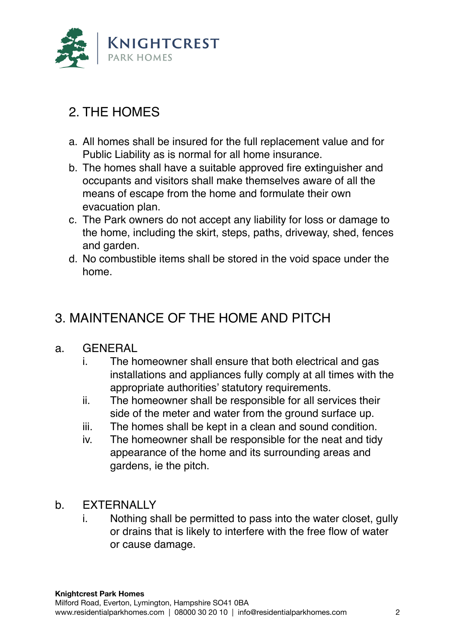

## 2. THE HOMES

- a. All homes shall be insured for the full replacement value and for Public Liability as is normal for all home insurance.
- b. The homes shall have a suitable approved fire extinguisher and occupants and visitors shall make themselves aware of all the means of escape from the home and formulate their own evacuation plan.
- c. The Park owners do not accept any liability for loss or damage to the home, including the skirt, steps, paths, driveway, shed, fences and garden.
- d. No combustible items shall be stored in the void space under the home.

## 3. MAINTENANCE OF THE HOME AND PITCH

#### a. GENERAL

- i. The homeowner shall ensure that both electrical and gas installations and appliances fully comply at all times with the appropriate authorities' statutory requirements.
- ii. The homeowner shall be responsible for all services their side of the meter and water from the ground surface up.
- iii. The homes shall be kept in a clean and sound condition.
- iv. The homeowner shall be responsible for the neat and tidy appearance of the home and its surrounding areas and gardens, ie the pitch.
- b. EXTERNALLY
	- i. Nothing shall be permitted to pass into the water closet, gully or drains that is likely to interfere with the free flow of water or cause damage.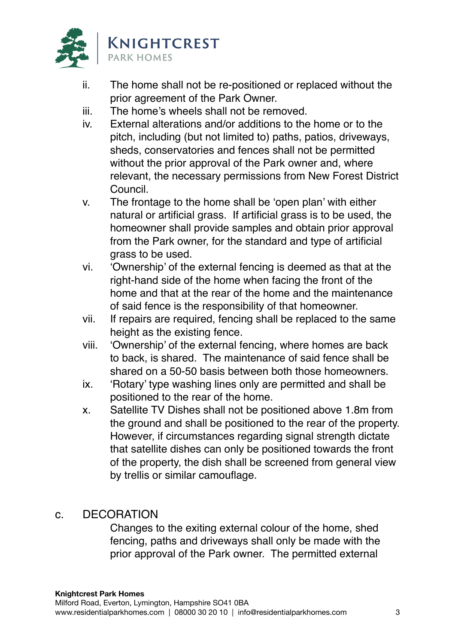

- ii. The home shall not be re-positioned or replaced without the prior agreement of the Park Owner.
- iii. The home's wheels shall not be removed.
- iv. External alterations and/or additions to the home or to the pitch, including (but not limited to) paths, patios, driveways, sheds, conservatories and fences shall not be permitted without the prior approval of the Park owner and, where relevant, the necessary permissions from New Forest District Council.
- v. The frontage to the home shall be 'open plan' with either natural or artificial grass. If artificial grass is to be used, the homeowner shall provide samples and obtain prior approval from the Park owner, for the standard and type of artificial grass to be used.
- vi. 'Ownership' of the external fencing is deemed as that at the right-hand side of the home when facing the front of the home and that at the rear of the home and the maintenance of said fence is the responsibility of that homeowner.
- vii. If repairs are required, fencing shall be replaced to the same height as the existing fence.
- viii. 'Ownership' of the external fencing, where homes are back to back, is shared. The maintenance of said fence shall be shared on a 50-50 basis between both those homeowners.
- ix. 'Rotary' type washing lines only are permitted and shall be positioned to the rear of the home.
- x. Satellite TV Dishes shall not be positioned above 1.8m from the ground and shall be positioned to the rear of the property. However, if circumstances regarding signal strength dictate that satellite dishes can only be positioned towards the front of the property, the dish shall be screened from general view by trellis or similar camouflage.
- c. DECORATION

Changes to the exiting external colour of the home, shed fencing, paths and driveways shall only be made with the prior approval of the Park owner. The permitted external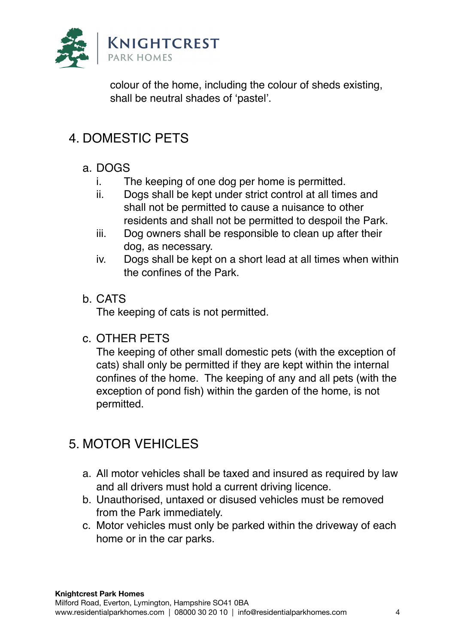

colour of the home, including the colour of sheds existing, shall be neutral shades of 'pastel'.

# 4. DOMESTIC PETS

#### a. DOGS

- i. The keeping of one dog per home is permitted.
- ii. Dogs shall be kept under strict control at all times and shall not be permitted to cause a nuisance to other residents and shall not be permitted to despoil the Park.
- iii. Dog owners shall be responsible to clean up after their dog, as necessary.
- iv. Dogs shall be kept on a short lead at all times when within the confines of the Park.

#### b. CATS

The keeping of cats is not permitted.

#### c. OTHER PETS

The keeping of other small domestic pets (with the exception of cats) shall only be permitted if they are kept within the internal confines of the home. The keeping of any and all pets (with the exception of pond fish) within the garden of the home, is not permitted.

## 5. MOTOR VEHICLES

- a. All motor vehicles shall be taxed and insured as required by law and all drivers must hold a current driving licence.
- b. Unauthorised, untaxed or disused vehicles must be removed from the Park immediately.
- c. Motor vehicles must only be parked within the driveway of each home or in the car parks.